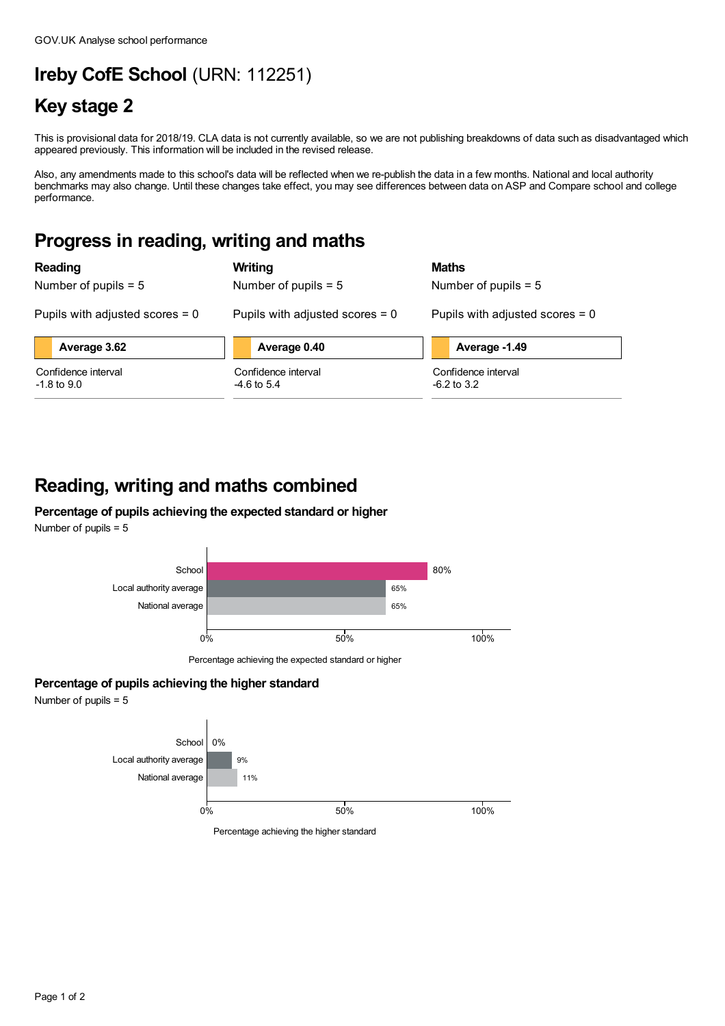# **Ireby CofE School** (URN: 112251)

## **Key stage 2**

This is provisional data for 2018/19. CLA data is not currently available, so we are not publishing breakdowns of data such as disadvantaged which appeared previously. This information will be included in the revised release.

Also, any amendments made to this school's data will be reflected when we re-publish the data in a few months. National and local authority benchmarks may also change. Until these changes take effect, you may see differences between data on ASP and Compare school and college performance.

#### **Progress in reading, writing and maths**

| Reading                                | Writing                              | <b>Maths</b>                         |
|----------------------------------------|--------------------------------------|--------------------------------------|
| Number of pupils $= 5$                 | Number of pupils $= 5$               | Number of pupils $= 5$               |
| Pupils with adjusted scores $= 0$      | Pupils with adjusted scores $= 0$    | Pupils with adjusted scores $= 0$    |
| Average 3.62                           | Average 0.40                         | Average -1.49                        |
| Confidence interval<br>$-1.8$ to $9.0$ | Confidence interval<br>$-4.6$ to 5.4 | Confidence interval<br>$-6.2$ to 3.2 |

### **Reading, writing and maths combined**

#### **Percentage of pupils achieving the expected standard or higher** Number of pupils = 5





Percentage achieving the expected standard or higher

#### **Percentage of pupils achieving the higher standard**

Number of pupils = 5



Percentage achieving the higher standard